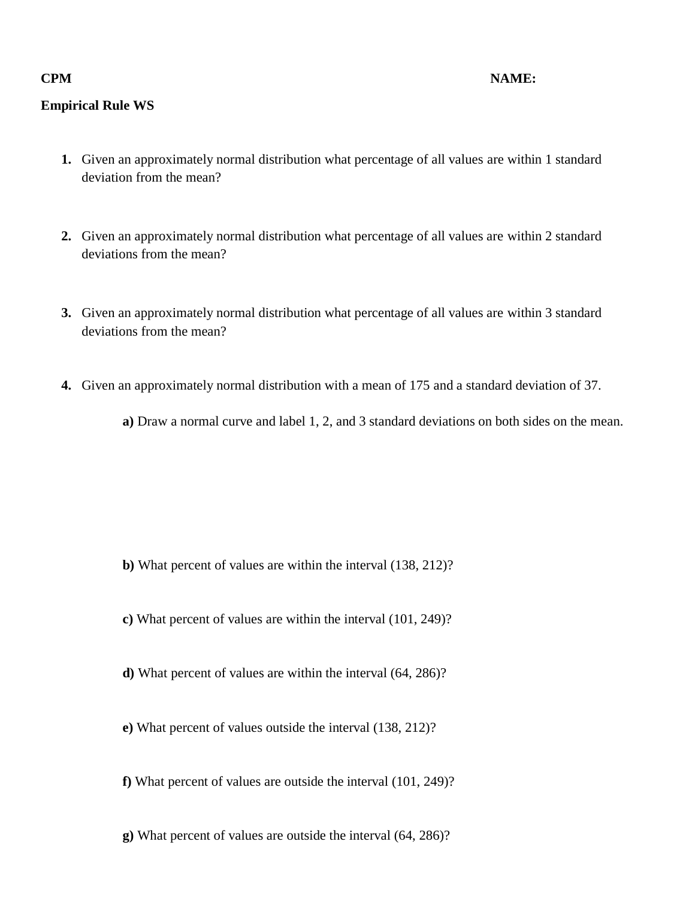## **Empirical Rule WS**

- **1.** Given an approximately normal distribution what percentage of all values are within 1 standard deviation from the mean?
- **2.** Given an approximately normal distribution what percentage of all values are within 2 standard deviations from the mean?
- **3.** Given an approximately normal distribution what percentage of all values are within 3 standard deviations from the mean?
- **4.** Given an approximately normal distribution with a mean of 175 and a standard deviation of 37.

**a)** Draw a normal curve and label 1, 2, and 3 standard deviations on both sides on the mean.

- **b)** What percent of values are within the interval (138, 212)?
- **c)** What percent of values are within the interval (101, 249)?
- **d)** What percent of values are within the interval (64, 286)?
- **e)** What percent of values outside the interval (138, 212)?
- **f)** What percent of values are outside the interval (101, 249)?
- **g)** What percent of values are outside the interval (64, 286)?

## **CPM NAME:**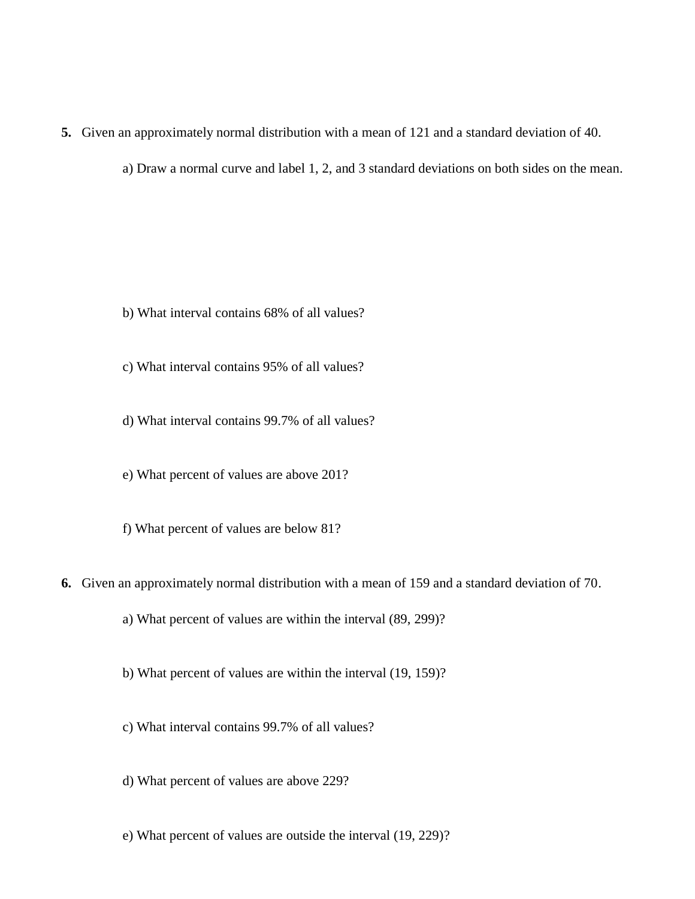## **5.** Given an approximately normal distribution with a mean of 121 and a standard deviation of 40.

a) Draw a normal curve and label 1, 2, and 3 standard deviations on both sides on the mean.

b) What interval contains 68% of all values?

c) What interval contains 95% of all values?

d) What interval contains 99.7% of all values?

e) What percent of values are above 201?

f) What percent of values are below 81?

**6.** Given an approximately normal distribution with a mean of 159 and a standard deviation of 70.

a) What percent of values are within the interval (89, 299)?

b) What percent of values are within the interval (19, 159)?

c) What interval contains 99.7% of all values?

d) What percent of values are above 229?

e) What percent of values are outside the interval (19, 229)?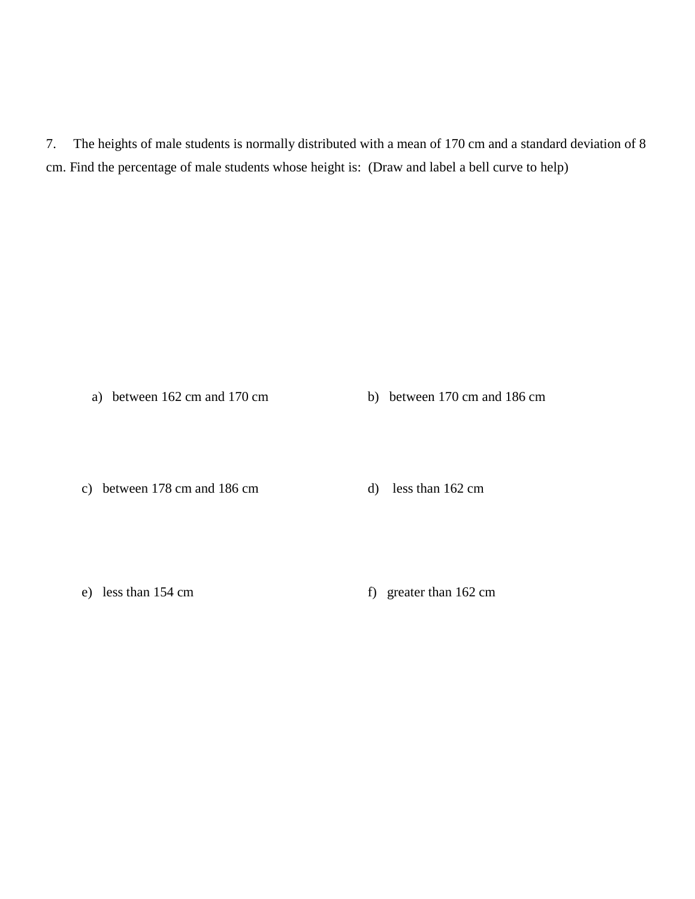7. The heights of male students is normally distributed with a mean of 170 cm and a standard deviation of 8 cm. Find the percentage of male students whose height is: (Draw and label a bell curve to help)

a) between 162 cm and 170 cm b) between 170 cm and 186 cm

c) between 178 cm and 186 cm d) less than 162 cm

e) less than 154 cm f) greater than 162 cm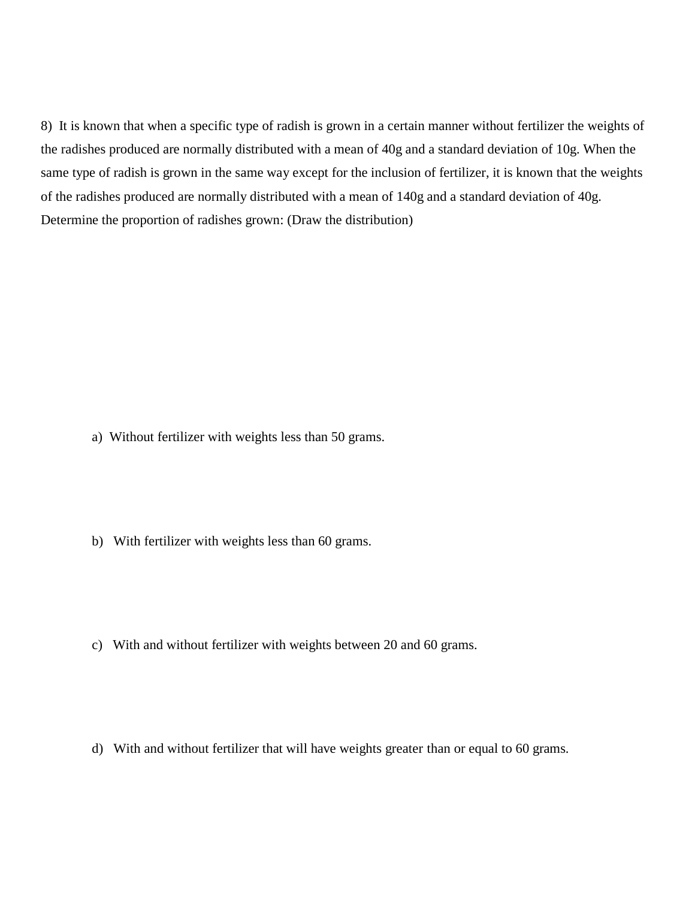8) It is known that when a specific type of radish is grown in a certain manner without fertilizer the weights of the radishes produced are normally distributed with a mean of 40g and a standard deviation of 10g. When the same type of radish is grown in the same way except for the inclusion of fertilizer, it is known that the weights of the radishes produced are normally distributed with a mean of 140g and a standard deviation of 40g. Determine the proportion of radishes grown: (Draw the distribution)

- a) Without fertilizer with weights less than 50 grams.
- b) With fertilizer with weights less than 60 grams.
- c) With and without fertilizer with weights between 20 and 60 grams.
- d) With and without fertilizer that will have weights greater than or equal to 60 grams.